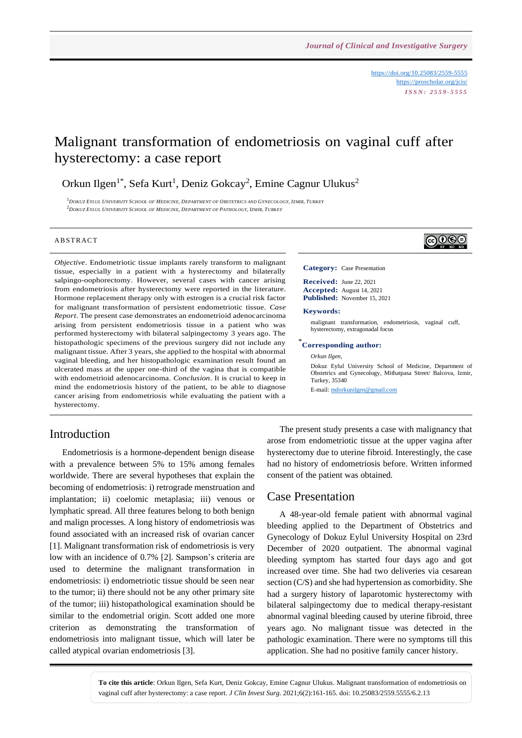<https://doi.org/10.25083/2559-5555> <https://proscholar.org/jcis/> *I S S N : 2 5 5 9 - 5 5 5 5*

# Malignant transformation of endometriosis on vaginal cuff after hysterectomy: a case report

Orkun Ilgen<sup>1\*</sup>, Sefa Kurt<sup>1</sup>, Deniz Gokcay<sup>2</sup>, Emine Cagnur Ulukus<sup>2</sup>

<sup>1</sup>DOKUZ EYLUL UNIVERSITY SCHOOL OF MEDICINE, DEPARTMENT OF OBSTETRICS AND GYNECOLOGY, IZMIR, TURKEY  $^2$ DOKUZ EYLUL UNIVERSITY SCHOOL OF MEDICINE, DEPARTMENT OF PATHOLOGY, IZMIR, TURKEY

#### **ABSTRACT**

*Objective*. Endometriotic tissue implants rarely transform to malignant tissue, especially in a patient with a hysterectomy and bilaterally salpingo-oophorectomy. However, several cases with cancer arising from endometriosis after hysterectomy were reported in the literature. Hormone replacement therapy only with estrogen is a crucial risk factor for malignant transformation of persistent endometriotic tissue. *Case Report*. The present case demonstrates an endometrioid adenocarcinoma arising from persistent endometriosis tissue in a patient who was performed hysterectomy with bilateral salpingectomy 3 years ago. The histopathologic specimens of the previous surgery did not include any malignant tissue. After 3 years, she applied to the hospital with abnormal vaginal bleeding, and her histopathologic examination result found an ulcerated mass at the upper one-third of the vagina that is compatible with endometrioid adenocarcinoma. *Conclusion*. It is crucial to keep in mind the endometriosis history of the patient, to be able to diagnose cancer arising from endometriosis while evaluating the patient with a hysterectomy.

#### Introduction

Endometriosis is a hormone-dependent benign disease with a prevalence between 5% to 15% among females worldwide. There are several hypotheses that explain the becoming of endometriosis: i) retrograde menstruation and implantation; ii) coelomic metaplasia; iii) venous or lymphatic spread. All three features belong to both benign and malign processes. A long history of endometriosis was found associated with an increased risk of ovarian cancer [1]. Malignant transformation risk of endometriosis is very low with an incidence of 0.7% [2]. Sampson's criteria are used to determine the malignant transformation in endometriosis: i) endometriotic tissue should be seen near to the tumor; ii) there should not be any other primary site of the tumor; iii) histopathological examination should be similar to the endometrial origin. Scott added one more criterion as demonstrating the transformation of endometriosis into malignant tissue, which will later be called atypical ovarian endometriosis [3].

∣ଢ⊕®

**Category:** Case Presentation

**Received:** June 22, 2021 **Accepted:** August 14, 2021 **Published:** November 15, 2021

#### **Keywords:**

malignant transformation, endometriosis, vaginal cuff, hysterectomy, extragonadal focus

#### \* **Corresponding author:**

*Orkun Ilgen,*

Dokuz Eylul University School of Medicine, Department of Obstetrics and Gynecology, Mithatpasa Street/ Balcova, Izmir, Turkey, 35340

E-mail: [mdorkunilgen@gmail.com](mailto:mdorkunilgen@gmail.com)

The present study presents a case with malignancy that arose from endometriotic tissue at the upper vagina after hysterectomy due to uterine fibroid. Interestingly, the case had no history of endometriosis before. Written informed consent of the patient was obtained.

#### Case Presentation

A 48-year-old female patient with abnormal vaginal bleeding applied to the Department of Obstetrics and Gynecology of Dokuz Eylul University Hospital on 23rd December of 2020 outpatient. The abnormal vaginal bleeding symptom has started four days ago and got increased over time. She had two deliveries via cesarean section (C/S) and she had hypertension as comorbidity. She had a surgery history of laparotomic hysterectomy with bilateral salpingectomy due to medical therapy-resistant abnormal vaginal bleeding caused by uterine fibroid, three years ago. No malignant tissue was detected in the pathologic examination. There were no symptoms till this application. She had no positive family cancer history.

**To cite this article**: Orkun Ilgen, Sefa Kurt, Deniz Gokcay, Emine Cagnur Ulukus. Malignant transformation of endometriosis on vaginal cuff after hysterectomy: a case report. *J Clin Invest Surg*. 2021;6(2):161-165. doi: 10.25083/2559.5555/6.2.13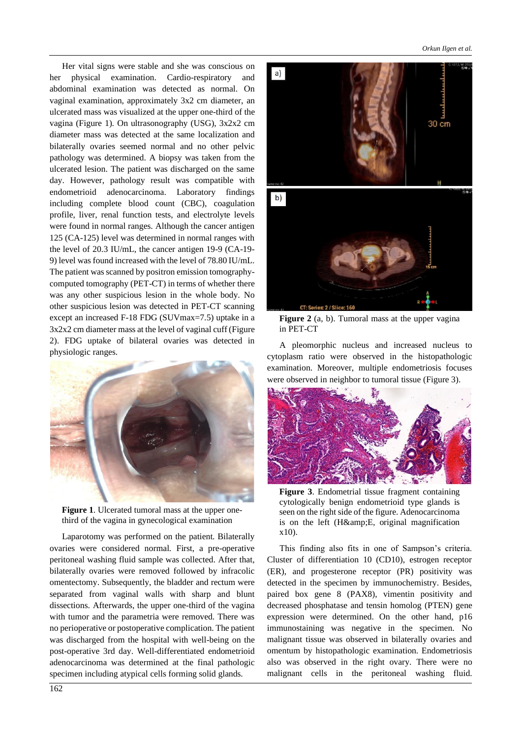Her vital signs were stable and she was conscious on her physical examination. Cardio-respiratory and abdominal examination was detected as normal. On vaginal examination, approximately 3x2 cm diameter, an ulcerated mass was visualized at the upper one-third of the vagina (Figure 1). On ultrasonography (USG), 3x2x2 cm diameter mass was detected at the same localization and bilaterally ovaries seemed normal and no other pelvic pathology was determined. A biopsy was taken from the ulcerated lesion. The patient was discharged on the same day. However, pathology result was compatible with endometrioid adenocarcinoma. Laboratory findings including complete blood count (CBC), coagulation profile, liver, renal function tests, and electrolyte levels were found in normal ranges. Although the cancer antigen 125 (CA-125) level was determined in normal ranges with the level of 20.3 IU/mL, the cancer antigen 19-9 (CA-19- 9) level was found increased with the level of 78.80 IU/mL. The patient was scanned by positron emission tomographycomputed tomography (PET-CT) in terms of whether there was any other suspicious lesion in the whole body. No other suspicious lesion was detected in PET-CT scanning except an increased F-18 FDG (SUVmax=7.5) uptake in a 3x2x2 cm diameter mass at the level of vaginal cuff (Figure 2). FDG uptake of bilateral ovaries was detected in physiologic ranges.



**Figure 1**. Ulcerated tumoral mass at the upper onethird of the vagina in gynecological examination

Laparotomy was performed on the patient. Bilaterally ovaries were considered normal. First, a pre-operative peritoneal washing fluid sample was collected. After that, bilaterally ovaries were removed followed by infracolic omentectomy. Subsequently, the bladder and rectum were separated from vaginal walls with sharp and blunt dissections. Afterwards, the upper one-third of the vagina with tumor and the parametria were removed. There was no perioperative or postoperative complication. The patient was discharged from the hospital with well-being on the post-operative 3rd day. Well-differentiated endometrioid adenocarcinoma was determined at the final pathologic specimen including atypical cells forming solid glands.



**Figure 2** (a, b). Tumoral mass at the upper vagina in PET-CT

A pleomorphic nucleus and increased nucleus to cytoplasm ratio were observed in the histopathologic examination. Moreover, multiple endometriosis focuses were observed in neighbor to tumoral tissue (Figure 3).



**Figure 3**. Endometrial tissue fragment containing cytologically benign endometrioid type glands is seen on the right side of the figure. Adenocarcinoma is on the left (H&E, original magnification x10).

This finding also fits in one of Sampson's criteria. Cluster of differentiation 10 (CD10), estrogen receptor (ER), and progesterone receptor (PR) positivity was detected in the specimen by immunochemistry. Besides, paired box gene 8 (PAX8), vimentin positivity and decreased phosphatase and tensin homolog (PTEN) gene expression were determined. On the other hand, p16 immunostaining was negative in the specimen. No malignant tissue was observed in bilaterally ovaries and omentum by histopathologic examination. Endometriosis also was observed in the right ovary. There were no malignant cells in the peritoneal washing fluid.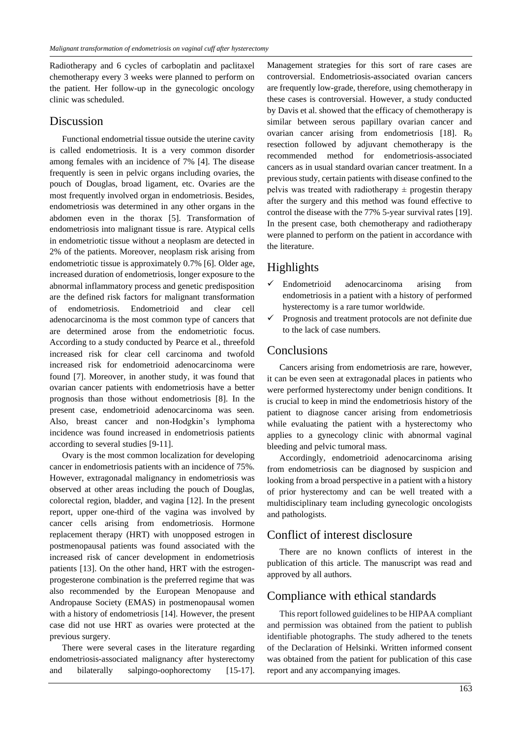Radiotherapy and 6 cycles of carboplatin and paclitaxel chemotherapy every 3 weeks were planned to perform on the patient. Her follow-up in the gynecologic oncology clinic was scheduled.

#### Discussion

Functional endometrial tissue outside the uterine cavity is called endometriosis. It is a very common disorder among females with an incidence of 7% [4]. The disease frequently is seen in pelvic organs including ovaries, the pouch of Douglas, broad ligament, etc. Ovaries are the most frequently involved organ in endometriosis. Besides, endometriosis was determined in any other organs in the abdomen even in the thorax [5]. Transformation of endometriosis into malignant tissue is rare. Atypical cells in endometriotic tissue without a neoplasm are detected in 2% of the patients. Moreover, neoplasm risk arising from endometriotic tissue is approximately 0.7% [6]. Older age, increased duration of endometriosis, longer exposure to the abnormal inflammatory process and genetic predisposition are the defined risk factors for malignant transformation of endometriosis. Endometrioid and clear cell adenocarcinoma is the most common type of cancers that are determined arose from the endometriotic focus. According to a study conducted by Pearce et al., threefold increased risk for clear cell carcinoma and twofold increased risk for endometrioid adenocarcinoma were found [7]. Moreover, in another study, it was found that ovarian cancer patients with endometriosis have a better prognosis than those without endometriosis [8]. In the present case, endometrioid adenocarcinoma was seen. Also, breast cancer and non-Hodgkin's lymphoma incidence was found increased in endometriosis patients according to several studies [9-11].

Ovary is the most common localization for developing cancer in endometriosis patients with an incidence of 75%. However, extragonadal malignancy in endometriosis was observed at other areas including the pouch of Douglas, colorectal region, bladder, and vagina [12]. In the present report, upper one-third of the vagina was involved by cancer cells arising from endometriosis. Hormone replacement therapy (HRT) with unopposed estrogen in postmenopausal patients was found associated with the increased risk of cancer development in endometriosis patients [13]. On the other hand, HRT with the estrogenprogesterone combination is the preferred regime that was also recommended by the European Menopause and Andropause Society (EMAS) in postmenopausal women with a history of endometriosis [14]. However, the present case did not use HRT as ovaries were protected at the previous surgery.

There were several cases in the literature regarding endometriosis-associated malignancy after hysterectomy and bilaterally salpingo-oophorectomy [15-17]. Management strategies for this sort of rare cases are controversial. Endometriosis-associated ovarian cancers are frequently low-grade, therefore, using chemotherapy in these cases is controversial. However, a study conducted by Davis et al. showed that the efficacy of chemotherapy is similar between serous papillary ovarian cancer and ovarian cancer arising from endometriosis  $[18]$ . R<sub>0</sub> resection followed by adjuvant chemotherapy is the recommended method for endometriosis-associated cancers as in usual standard ovarian cancer treatment. In a previous study, certain patients with disease confined to the pelvis was treated with radiotherapy  $\pm$  progestin therapy after the surgery and this method was found effective to control the disease with the 77% 5-year survival rates [19]. In the present case, both chemotherapy and radiotherapy were planned to perform on the patient in accordance with the literature.

# Highlights

- $\checkmark$  Endometrioid adenocarcinoma arising from endometriosis in a patient with a history of performed hysterectomy is a rare tumor worldwide.
- $\checkmark$  Prognosis and treatment protocols are not definite due to the lack of case numbers.

## **Conclusions**

Cancers arising from endometriosis are rare, however, it can be even seen at extragonadal places in patients who were performed hysterectomy under benign conditions. It is crucial to keep in mind the endometriosis history of the patient to diagnose cancer arising from endometriosis while evaluating the patient with a hysterectomy who applies to a gynecology clinic with abnormal vaginal bleeding and pelvic tumoral mass.

Accordingly, endometrioid adenocarcinoma arising from endometriosis can be diagnosed by suspicion and looking from a broad perspective in a patient with a history of prior hysterectomy and can be well treated with a multidisciplinary team including gynecologic oncologists and pathologists.

## Conflict of interest disclosure

There are no known conflicts of interest in the publication of this article. The manuscript was read and approved by all authors.

## Compliance with ethical standards

This report followed guidelines to be HIPAA compliant and permission was obtained from the patient to publish identifiable photographs. The study adhered to the tenets of the Declaration of Helsinki. Written informed consent was obtained from the patient for publication of this case report and any accompanying images.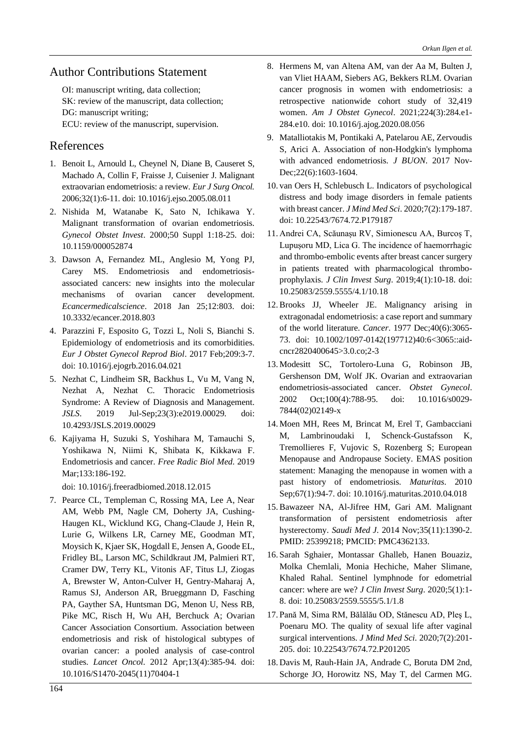#### Author Contributions Statement

OI: manuscript writing, data collection; SK: review of the manuscript, data collection; DG: manuscript writing; ECU: review of the manuscript, supervision.

#### References

- 1. Benoit L, Arnould L, Cheynel N, Diane B, Causeret S, Machado A, Collin F, Fraisse J, Cuisenier J. Malignant extraovarian endometriosis: a review. *Eur J Surg Oncol.* 2006;32(1):6-11. doi: 10.1016/j.ejso.2005.08.011
- 2. Nishida M, Watanabe K, Sato N, Ichikawa Y. Malignant transformation of ovarian endometriosis. *Gynecol Obstet Invest*. 2000;50 Suppl 1:18-25. doi: 10.1159/000052874
- 3. Dawson A, Fernandez ML, Anglesio M, Yong PJ, Carey MS. Endometriosis and endometriosisassociated cancers: new insights into the molecular mechanisms of ovarian cancer development. *Ecancermedicalscience*. 2018 Jan 25;12:803. doi: 10.3332/ecancer.2018.803
- 4. Parazzini F, Esposito G, Tozzi L, Noli S, Bianchi S. Epidemiology of endometriosis and its comorbidities. *Eur J Obstet Gynecol Reprod Biol*. 2017 Feb;209:3-7. doi: 10.1016/j.ejogrb.2016.04.021
- 5. Nezhat C, Lindheim SR, Backhus L, Vu M, Vang N, Nezhat A, Nezhat C. Thoracic Endometriosis Syndrome: A Review of Diagnosis and Management. *JSLS*. 2019 Jul-Sep;23(3):e2019.00029. doi: 10.4293/JSLS.2019.00029
- 6. Kajiyama H, Suzuki S, Yoshihara M, Tamauchi S, Yoshikawa N, Niimi K, Shibata K, Kikkawa F. Endometriosis and cancer. *Free Radic Biol Med*. 2019 Mar;133:186-192.

doi: 10.1016/j.freeradbiomed.2018.12.015

7. Pearce CL, Templeman C, Rossing MA, Lee A, Near AM, Webb PM, Nagle CM, Doherty JA, Cushing-Haugen KL, Wicklund KG, Chang-Claude J, Hein R, Lurie G, Wilkens LR, Carney ME, Goodman MT, Moysich K, Kjaer SK, Hogdall E, Jensen A, Goode EL, Fridley BL, Larson MC, Schildkraut JM, Palmieri RT, Cramer DW, Terry KL, Vitonis AF, Titus LJ, Ziogas A, Brewster W, Anton-Culver H, Gentry-Maharaj A, Ramus SJ, Anderson AR, Brueggmann D, Fasching PA, Gayther SA, Huntsman DG, Menon U, Ness RB, Pike MC, Risch H, Wu AH, Berchuck A; Ovarian Cancer Association Consortium. Association between endometriosis and risk of histological subtypes of ovarian cancer: a pooled analysis of case-control studies. *Lancet Oncol*. 2012 Apr;13(4):385-94. doi: 10.1016/S1470-2045(11)70404-1

- 8. Hermens M, van Altena AM, van der Aa M, Bulten J, van Vliet HAAM, Siebers AG, Bekkers RLM. Ovarian cancer prognosis in women with endometriosis: a retrospective nationwide cohort study of 32,419 women. *Am J Obstet Gynecol*. 2021;224(3):284.e1- 284.e10. doi: 10.1016/j.ajog.2020.08.056
- 9. Matalliotakis M, Pontikaki A, Patelarou AE, Zervoudis S, Arici A. Association of non-Hodgkin's lymphoma with advanced endometriosis. *J BUON*. 2017 Nov-Dec;22(6):1603-1604.
- 10. van Oers H, Schlebusch L. Indicators of psychological distress and body image disorders in female patients with breast cancer. *J Mind Med Sci*. 2020;7(2):179-187. doi: 10.22543/7674.72.P179187
- 11. Andrei CA, Scăunașu RV, Simionescu AA, Burcoș T, Lupușoru MD, Lica G. The incidence of haemorrhagic and thrombo-embolic events after breast cancer surgery in patients treated with pharmacological thromboprophylaxis. *J Clin Invest Surg*. 2019;4(1):10-18. doi: 10.25083/2559.5555/4.1/10.18
- 12. Brooks JJ, Wheeler JE. Malignancy arising in extragonadal endometriosis: a case report and summary of the world literature. *Cancer*. 1977 Dec;40(6):3065- 73. doi: 10.1002/1097-0142(197712)40:6<3065::aidcncr2820400645>3.0.co;2-3
- 13. Modesitt SC, Tortolero-Luna G, Robinson JB, Gershenson DM, Wolf JK. Ovarian and extraovarian endometriosis-associated cancer. *Obstet Gynecol*. 2002 Oct;100(4):788-95. doi: 10.1016/s0029- 7844(02)02149-x
- 14. Moen MH, Rees M, Brincat M, Erel T, Gambacciani M, Lambrinoudaki I, Schenck-Gustafsson K, Tremollieres F, Vujovic S, Rozenberg S; European Menopause and Andropause Society. EMAS position statement: Managing the menopause in women with a past history of endometriosis. *Maturitas*. 2010 Sep;67(1):94-7. doi: 10.1016/j.maturitas.2010.04.018
- 15. Bawazeer NA, Al-Jifree HM, Gari AM. Malignant transformation of persistent endometriosis after hysterectomy. *Saudi Med J*. 2014 Nov;35(11):1390-2. PMID: 25399218; PMCID: PMC4362133.
- 16.Sarah Sghaier, Montassar Ghalleb, Hanen Bouaziz, Molka Chemlali, Monia Hechiche, Maher Slimane, Khaled Rahal. Sentinel lymphnode for edometrial cancer: where are we? *J Clin Invest Surg*. 2020;5(1):1- 8. doi: 10.25083/2559.5555/5.1/1.8
- 17.Pană M, Sima RM, Bălălău OD, Stănescu AD, Pleş L, Poenaru MO. The quality of sexual life after vaginal surgical interventions. *J Mind Med Sci*. 2020;7(2):201- 205. doi: 10.22543/7674.72.P201205
- 18. Davis M, Rauh-Hain JA, Andrade C, Boruta DM 2nd, Schorge JO, Horowitz NS, May T, del Carmen MG.